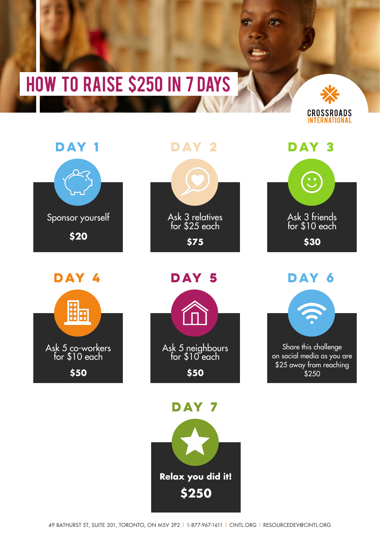## How to raise \$250 in 7 days





**DAY 4** 





**DAY 5** 



**DAY 7** 



Ask 3 friends for \$10 each

**\$30**

**DAY 3** 

**DAY 6** 



on social media as you are \$25 away from reaching \$250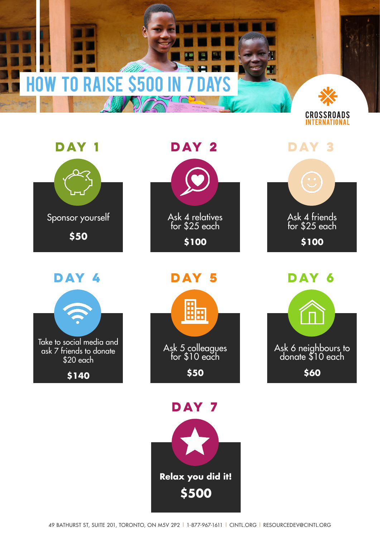## **HOW TO RAISE \$500 IN 7 D**





**DAY 4** 





**DAY 5** 



**DAY 7** 



Ask 4 friends for \$25 each

**day 3**

**\$100**

**day 6** Ask 6 neighbours to donate \$10 each **\$60**